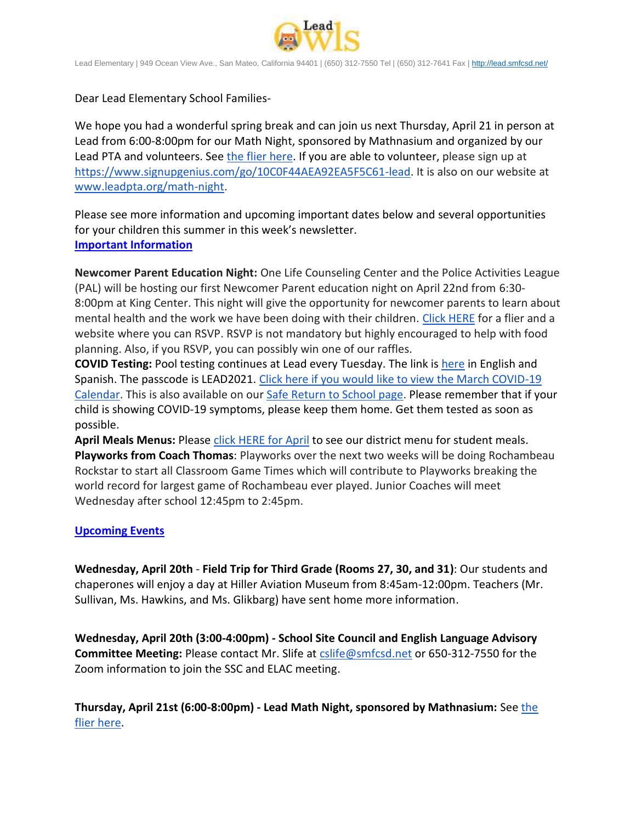

Lead Elementary | 949 Ocean View Ave., San Mateo, California 94401 | (650) 312-7550 Tel | (650) 312-7641 Fax [| http://lead.smfcsd.net/](http://lead.smfcsd.net/)

Dear Lead Elementary School Families-

We hope you had a wonderful spring break and can join us next Thursday, April 21 in person at Lead from 6:00-8:00pm for our Math Night, sponsored by Mathnasium and organized by our Lead PTA and volunteers. See [the flier here.](https://drive.google.com/file/d/1aweG-SucpFHT09TBvZ7RNtVXguGaJYha/view?usp=sharing) If you are able to volunteer, please sign up at [https://www.signupgenius.com/go/10C0F44AEA92EA5F5C61-lead.](https://www.signupgenius.com/go/10C0F44AEA92EA5F5C61-lead) It is also on our website at [www.leadpta.org/math-night.](http://www.leadpta.org/math-night)

Please see more information and upcoming important dates below and several opportunities for your children this summer in this week's newsletter. **Important Information**

**Newcomer Parent Education Night:** One Life Counseling Center and the Police Activities League (PAL) will be hosting our first Newcomer Parent education night on April 22nd from 6:30- 8:00pm at King Center. This night will give the opportunity for newcomer parents to learn about mental health and the work we have been doing with their children. [Click HERE](https://drive.google.com/file/d/1mlx9RF4V8cO9V9p-bSU89XQvuxcIFgK1/view?usp=sharing) for a flier and a website where you can RSVP. RSVP is not mandatory but highly encouraged to help with food planning. Also, if you RSVP, you can possibly win one of our raffles.

**COVID Testing:** Pool testing continues at Lead every Tuesday. The link is [here](https://testcenter.concentricbyginkgo.com/minor-consent/) in English and Spanish. The passcode is LEAD2021. [Click here if you would like to view the March COVID-19](http://www.smfcsd.net/en/assets/files/Communications/COVID-19/COVID-19%20School%20Testing%20-%20March.pdf)  [Calendar.](http://www.smfcsd.net/en/assets/files/Communications/COVID-19/COVID-19%20School%20Testing%20-%20March.pdf) This is also available on our [Safe Return to School page.](http://www.smfcsd.net/en/covid-19-updates-resources/covid-19-updates.html) Please remember that if your child is showing COVID-19 symptoms, please keep them home. Get them tested as soon as possible.

April Meals Menus: Please [click HERE for April](http://www.smfcsd.net/en/assets/files/Nutrition%20and%20School%20Meals/APRIL%202022%20MENUS.pdf) to see our district menu for student meals. **Playworks from Coach Thomas**: Playworks over the next two weeks will be doing Rochambeau Rockstar to start all Classroom Game Times which will contribute to Playworks breaking the world record for largest game of Rochambeau ever played. Junior Coaches will meet Wednesday after school 12:45pm to 2:45pm.

## **Upcoming Events**

**Wednesday, April 20th** - **Field Trip for Third Grade (Rooms 27, 30, and 31)**: Our students and chaperones will enjoy a day at Hiller Aviation Museum from 8:45am-12:00pm. Teachers (Mr. Sullivan, Ms. Hawkins, and Ms. Glikbarg) have sent home more information.

**Wednesday, April 20th (3:00-4:00pm) - School Site Council and English Language Advisory Committee Meeting:** Please contact Mr. Slife at [cslife@smfcsd.net](mailto:cslife@smfcsd.net) or 650-312-7550 for the Zoom information to join the SSC and ELAC meeting.

**Thursday, April 21st (6:00-8:00pm) - Lead Math Night, sponsored by Mathnasium:** See the [flier here.](https://drive.google.com/file/d/1aweG-SucpFHT09TBvZ7RNtVXguGaJYha/view?usp=sharing)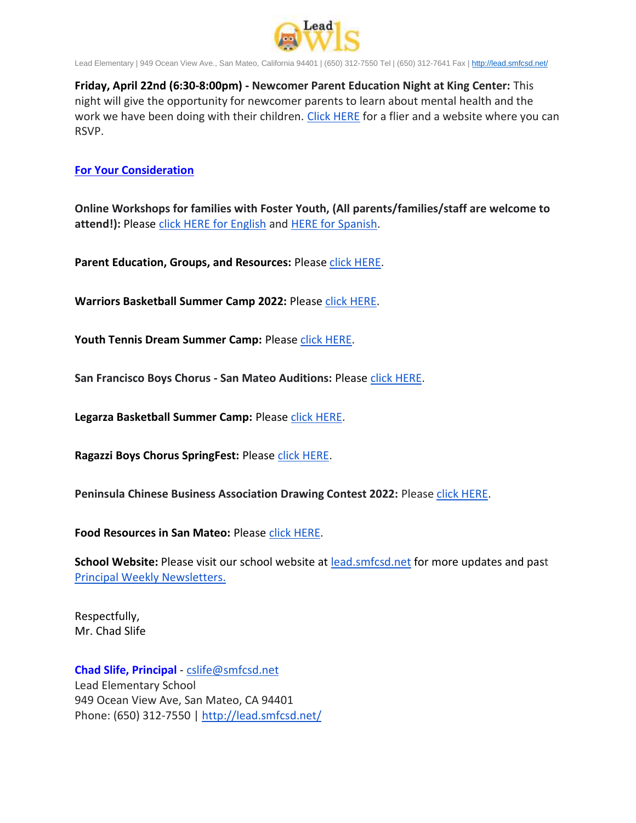

Lead Elementary | 949 Ocean View Ave., San Mateo, California 94401 | (650) 312-7550 Tel | (650) 312-7641 Fax [| http://lead.smfcsd.net/](http://lead.smfcsd.net/)

**Friday, April 22nd (6:30-8:00pm) - Newcomer Parent Education Night at King Center:** This night will give the opportunity for newcomer parents to learn about mental health and the work we have been doing with their children. [Click HERE](https://drive.google.com/file/d/1mlx9RF4V8cO9V9p-bSU89XQvuxcIFgK1/view?usp=sharing) for a flier and a website where you can RSVP.

## **For Your Consideration**

**Online Workshops for families with Foster Youth, (All parents/families/staff are welcome to attend!):** Please [click HERE for English](https://drive.google.com/file/d/1mezmxHNnUUYKZnDvVn7II09Lk6TkMYQR/view?usp=sharing) and [HERE for Spanish.](https://drive.google.com/file/d/1_mIsb-wQPwAKZ2S88PAFI7pOP2dgt_zu/view?usp=sharing)

Parent Education, Groups, and Resources: Please [click HERE.](https://docs.google.com/document/d/19LAZoiJLgzgU5ul-CqrkeLD7rb-e4hj023lwd2lcKks/edit?usp=sharing)

**Warriors Basketball Summer Camp 2022:** Please [click HERE.](https://drive.google.com/file/d/17nYJ4p6Mln8f6jG62xg9g7rUCPfJ8-rq/view?usp=sharing)

Youth Tennis Dream Summer Camp: Please [click HERE.](https://drive.google.com/file/d/1OZqWC2Q9TwEuUr0NG8wRNQD0n4BnyzVN/view?usp=sharing)

**San Francisco Boys Chorus - San Mateo Auditions:** Please [click HERE.](https://drive.google.com/file/d/15pGUd1_N6d8FLKp8NJIl_rxEmf7CwHfQ/view?usp=sharing)

Legarza Basketball Summer Camp: Please [click HERE.](https://drive.google.com/file/d/1hHogd2gaT6afJG2dndXOuIfIqVDxjRK5/view?usp=sharing)

**Ragazzi Boys Chorus SpringFest: Please [click HERE.](https://drive.google.com/file/d/1_zUA5CuRVqB_8kqeqzkBxDbh8fxD4Xmw/view?usp=sharing)** 

**Peninsula Chinese Business Association Drawing Contest 2022: Please [click HERE.](https://drive.google.com/file/d/18s8IDlxl-DPRUThwHLkpwHq364Uq4I6K/view?usp=sharing)** 

**Food Resources in San Mateo:** Please [click HERE.](https://drive.google.com/file/d/1mtpojdbgajksxnvTGi7Tg1Zi4V5kUkYI/view?usp=sharing)

**School Website:** Please visit our school website at [lead.smfcsd.net](https://lead.smfcsd.net/) for more updates and past [Principal Weekly Newsletters.](https://lead.smfcsd.net/about-lead/weekly-newsletter.html)

Respectfully, Mr. Chad Slife

**Chad Slife, Principal** - [cslife@smfcsd.net](mailto:cslife@smfcsd.net) Lead Elementary School 949 Ocean View Ave, San Mateo, CA 94401 Phone: (650) 312-7550 | <http://lead.smfcsd.net/>